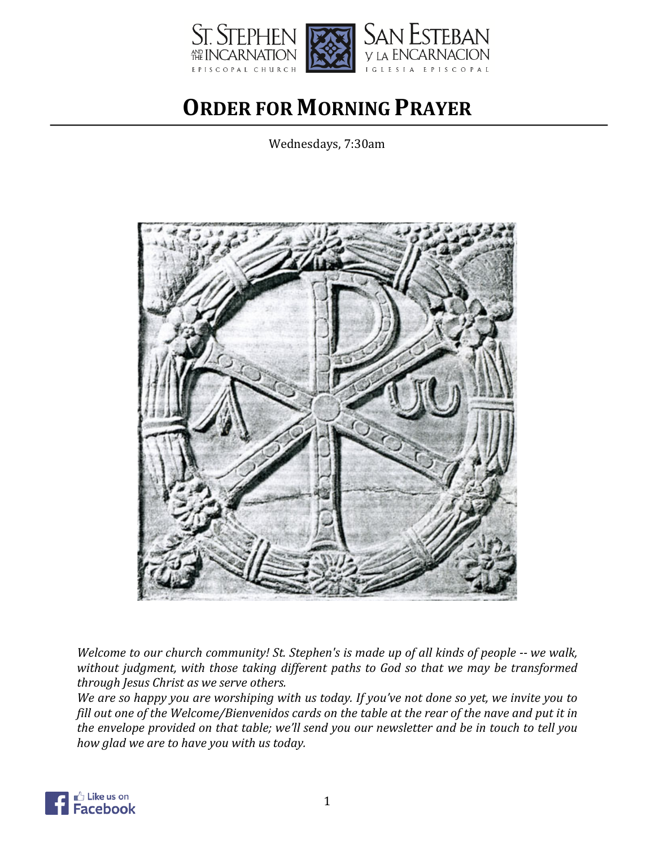

# **ORDER FOR MORNING PRAYER**

Wednesdays, 7:30am



*Welcome to our church community! St. Stephen's is made up of all kinds of people -- we walk,* without judgment, with those taking different paths to God so that we may be transformed *through Jesus Christ as we serve others.*

We are so happy you are worshiping with us today. If you've not done so yet, we invite you to fill out one of the Welcome/Bienvenidos cards on the table at the rear of the nave and put it in the envelope provided on that table; we'll send you our newsletter and be in touch to tell you *how glad we are to have you with us today.* 

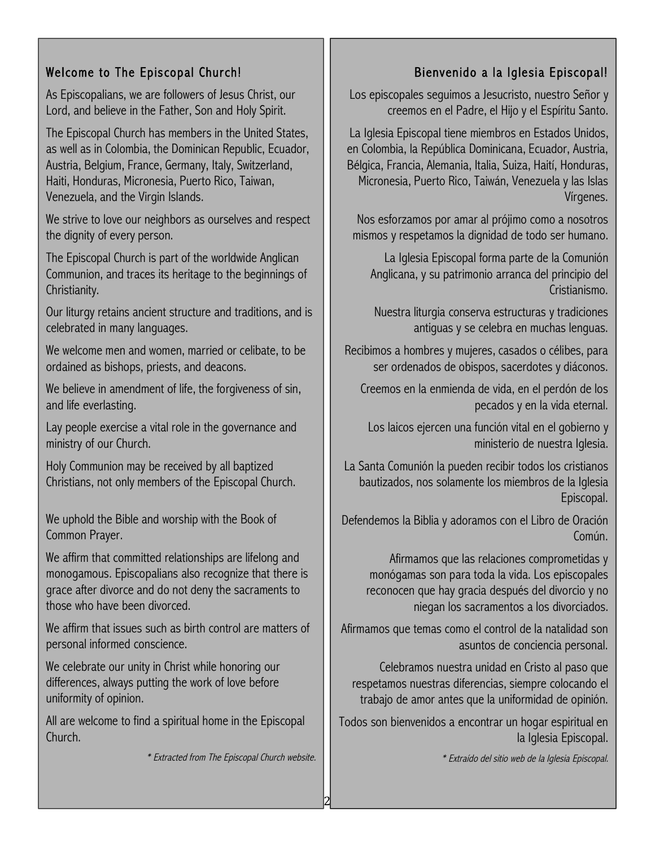# Welcome to The Episcopal Church!

As Episcopalians, we are followers of Jesus Christ, our Lord, and believe in the Father, Son and Holy Spirit.

The Episcopal Church has members in the United States, as well as in Colombia, the Dominican Republic, Ecuador, Austria, Belgium, France, Germany, Italy, Switzerland, Haiti, Honduras, Micronesia, Puerto Rico, Taiwan, Venezuela, and the Virgin Islands.

We strive to love our neighbors as ourselves and respect the dignity of every person.

The Episcopal Church is part of the worldwide Anglican Communion, and traces its heritage to the beginnings of Christianity.

Our liturgy retains ancient structure and traditions, and is celebrated in many languages.

We welcome men and women, married or celibate, to be ordained as bishops, priests, and deacons.

We believe in amendment of life, the forgiveness of sin, and life everlasting.

Lay people exercise a vital role in the governance and ministry of our Church.

Holy Communion may be received by all baptized Christians, not only members of the Episcopal Church.

We uphold the Bible and worship with the Book of Common Prayer.

We affirm that committed relationships are lifelong and monogamous. Episcopalians also recognize that there is grace after divorce and do not deny the sacraments to those who have been divorced.

We affirm that issues such as birth control are matters of personal informed conscience.

We celebrate our unity in Christ while honoring our differences, always putting the work of love before uniformity of opinion.

All are welcome to find a spiritual home in the Episcopal Church.

\* Extracted from The Episcopal Church website.

2

# Bienvenido a la Iglesia Episcopal!

Los episcopales seguimos a Jesucristo, nuestro Señor y creemos en el Padre, el Hijo y el Espíritu Santo.

La Iglesia Episcopal tiene miembros en Estados Unidos, en Colombia, la República Dominicana, Ecuador, Austria, Bélgica, Francia, Alemania, Italia, Suiza, Haití, Honduras, Micronesia, Puerto Rico, Taiwán, Venezuela y las Islas Vírgenes.

Nos esforzamos por amar al prójimo como a nosotros mismos y respetamos la dignidad de todo ser humano.

La Iglesia Episcopal forma parte de la Comunión Anglicana, y su patrimonio arranca del principio del Cristianismo.

Nuestra liturgia conserva estructuras y tradiciones antiguas y se celebra en muchas lenguas.

Recibimos a hombres y mujeres, casados o célibes, para ser ordenados de obispos, sacerdotes y diáconos.

Creemos en la enmienda de vida, en el perdón de los pecados y en la vida eternal.

Los laicos ejercen una función vital en el gobierno y ministerio de nuestra Iglesia.

La Santa Comunión la pueden recibir todos los cristianos bautizados, nos solamente los miembros de la Iglesia Episcopal.

Defendemos la Biblia y adoramos con el Libro de Oración Común.

Afirmamos que las relaciones comprometidas y monógamas son para toda la vida. Los episcopales reconocen que hay gracia después del divorcio y no niegan los sacramentos a los divorciados.

Afirmamos que temas como el control de la natalidad son asuntos de conciencia personal.

Celebramos nuestra unidad en Cristo al paso que respetamos nuestras diferencias, siempre colocando el trabajo de amor antes que la uniformidad de opinión.

Todos son bienvenidos a encontrar un hogar espiritual en la Iglesia Episcopal.

\* Extraído del sitio web de la Iglesia Episcopal.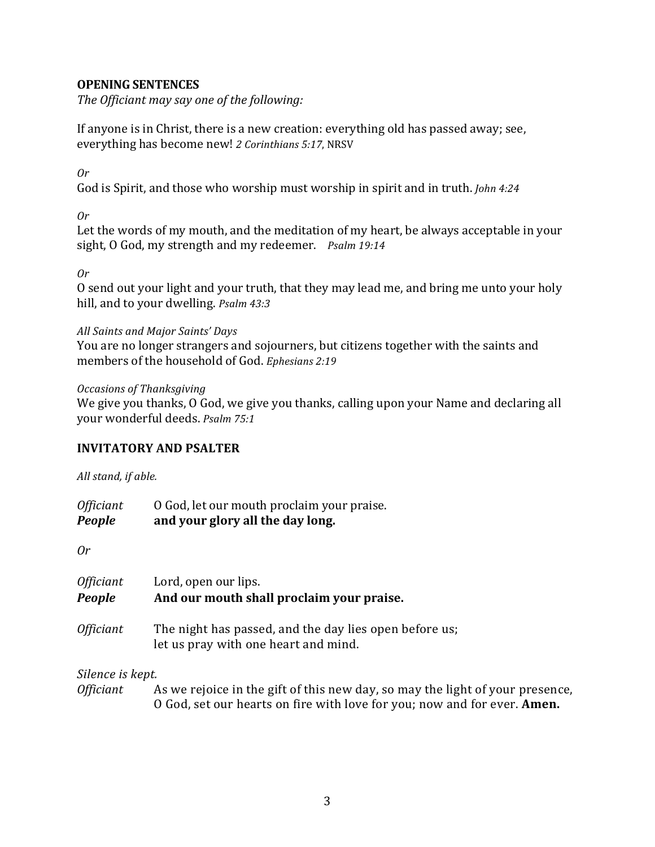# **OPENING SENTENCES**

The Officiant may say one of the following:

If anyone is in Christ, there is a new creation: everything old has passed away; see, everything has become new! 2 Corinthians 5:17, NRSV

*Or*

God is Spirit, and those who worship must worship in spirit and in truth. *John* 4:24

*Or*

Let the words of my mouth, and the meditation of my heart, be always acceptable in your sight, O God, my strength and my redeemer. *Psalm 19:14* 

*Or*

O send out your light and your truth, that they may lead me, and bring me unto your holy hill, and to your dwelling. *Psalm 43:3* 

# All Saints and Major Saints' Days

You are no longer strangers and sojourners, but citizens together with the saints and members of the household of God. *Ephesians* 2:19

*Occasions of Thanksgiving* 

We give you thanks, O God, we give you thanks, calling upon your Name and declaring all your wonderful deeds. *Psalm 75:1* 

# **INVITATORY AND PSALTER**

All stand, if able.

| <i><b>Officiant</b></i> | O God, let our mouth proclaim your praise. |
|-------------------------|--------------------------------------------|
| <b>People</b>           | and your glory all the day long.           |

*Or*

| Officiant<br>People | Lord, open our lips.<br>And our mouth shall proclaim your praise.                              |  |
|---------------------|------------------------------------------------------------------------------------------------|--|
| Officiant           | The night has passed, and the day lies open before us;<br>let us pray with one heart and mind. |  |
| Silence is kept.    |                                                                                                |  |

*Officiant* As we rejoice in the gift of this new day, so may the light of your presence, O God, set our hearts on fire with love for you; now and for ever. **Amen.**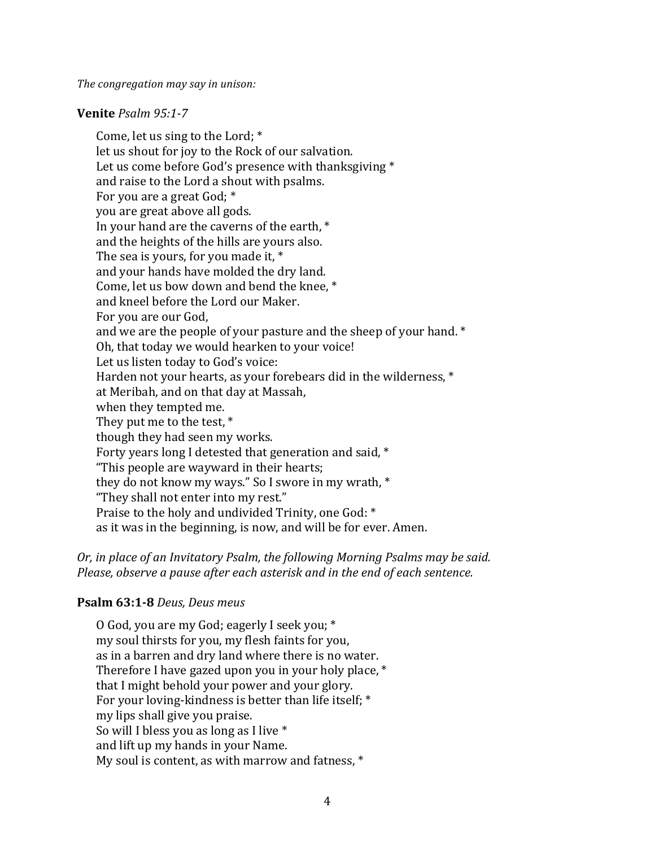*The congregation may say in unison:* 

#### **Venite** *Psalm* 95:1-7

Come, let us sing to the Lord;  $*$ let us shout for joy to the Rock of our salvation. Let us come before God's presence with thanksgiving  $*$ and raise to the Lord a shout with psalms. For you are a great God; \* you are great above all gods. In your hand are the caverns of the earth,  $*$ and the heights of the hills are yours also. The sea is yours, for you made it,  $*$ and your hands have molded the dry land. Come, let us bow down and bend the knee, \* and kneel before the Lord our Maker. For you are our God, and we are the people of your pasture and the sheep of your hand.  $*$ Oh, that today we would hearken to your voice! Let us listen today to God's voice: Harden not your hearts, as your forebears did in the wilderness,  $*$ at Meribah, and on that day at Massah, when they tempted me. They put me to the test,  $*$ though they had seen my works. Forty years long I detested that generation and said,  $*$ "This people are wayward in their hearts; they do not know my ways." So I swore in my wrath,  $*$ "They shall not enter into my rest." Praise to the holy and undivided Trinity, one God: \* as it was in the beginning, is now, and will be for ever. Amen.

*Or, in place of an Invitatory Psalm, the following Morning Psalms may be said. Please, observe a pause after each asterisk and in the end of each sentence.* 

#### **Psalm 63:1-8** *Deus, Deus meus*

O God, you are my God; eagerly I seek you; \* my soul thirsts for you, my flesh faints for you, as in a barren and dry land where there is no water. Therefore I have gazed upon you in your holy place,  $*$ that I might behold your power and your glory. For your loving-kindness is better than life itself;  $*$ my lips shall give you praise. So will I bless you as long as I live  $*$ and lift up my hands in your Name. My soul is content, as with marrow and fatness,  $*$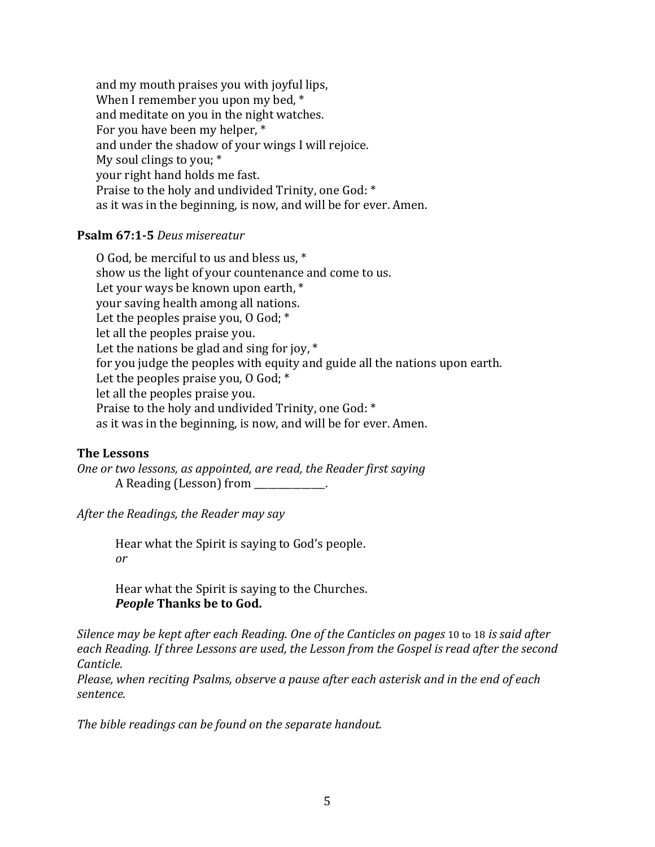and my mouth praises you with joyful lips, When I remember you upon my bed,  $*$ and meditate on you in the night watches. For you have been my helper, \* and under the shadow of your wings I will rejoice. My soul clings to you:  $*$ your right hand holds me fast. Praise to the holy and undivided Trinity, one God: \* as it was in the beginning, is now, and will be for ever. Amen.

#### **Psalm 67:1-5** *Deus misereatur*

O God, be merciful to us and bless us, \* show us the light of your countenance and come to us. Let your ways be known upon earth,  $*$ your saving health among all nations. Let the peoples praise you,  $0$  God;  $*$ let all the peoples praise you. Let the nations be glad and sing for joy,  $*$ for you judge the peoples with equity and guide all the nations upon earth. Let the peoples praise you,  $0$  God;  $*$ let all the peoples praise you. Praise to the holy and undivided Trinity, one God: \* as it was in the beginning, is now, and will be for ever. Amen.

#### **The Lessons**

*One or two lessons, as appointed, are read, the Reader first saying* A Reading (Lesson) from

After the Readings, the Reader may say

Hear what the Spirit is saying to God's people. *or* 

Hear what the Spirit is saying to the Churches. **People Thanks be to God.** 

*Silence may be kept after each Reading. One of the Canticles on pages* 10 to 18 *is said after* each Reading. If three Lessons are used, the Lesson from the Gospel is read after the second *Canticle.*

*Please, when reciting Psalms, observe a pause after each asterisk and in the end of each sentence.*

The bible readings can be found on the separate handout.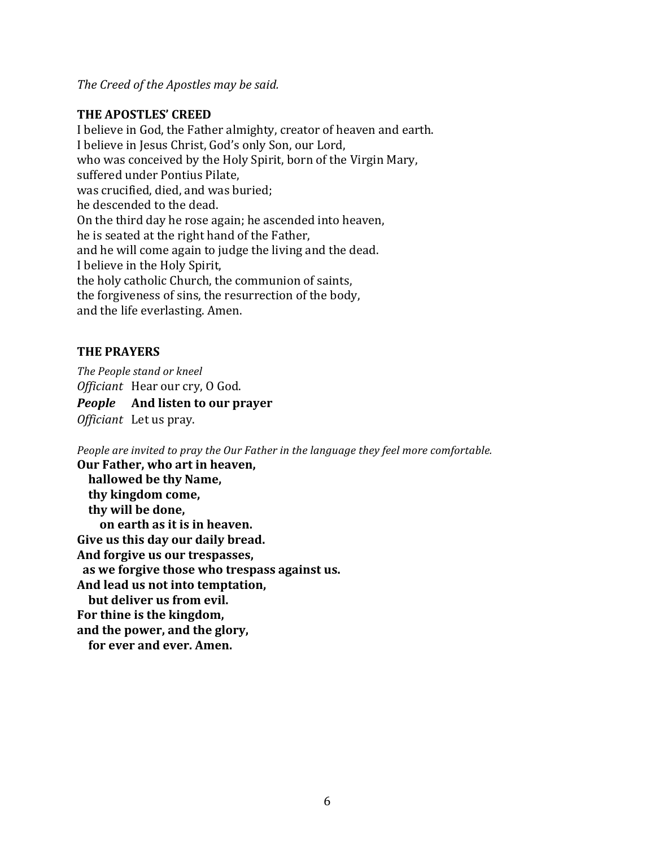The Creed of the Apostles may be said.

#### **THE APOSTLES' CREED**

I believe in God, the Father almighty, creator of heaven and earth. I believe in Jesus Christ, God's only Son, our Lord, who was conceived by the Holy Spirit, born of the Virgin Mary, suffered under Pontius Pilate, was crucified, died, and was buried; he descended to the dead. On the third day he rose again; he ascended into heaven, he is seated at the right hand of the Father, and he will come again to judge the living and the dead. I believe in the Holy Spirit, the holy catholic Church, the communion of saints, the forgiveness of sins, the resurrection of the body, and the life everlasting. Amen.

#### **THE PRAYERS**

*The People stand or kneel Officiant* Hear our cry, O God. *People* And listen to our prayer *Officiant* Let us pray.

*People are invited to pray the Our Father in the language they feel more comfortable.* 

**Our Father, who art in heaven, hallowed be thy Name, thy kingdom come, thy will be done, on earth as it is in heaven.** Give us this day our daily bread. And forgive us our trespasses, as we forgive those who trespass against us. And lead us not into temptation, **but deliver us from evil.** For thine is the kingdom, and the power, and the glory, for ever and ever. Amen.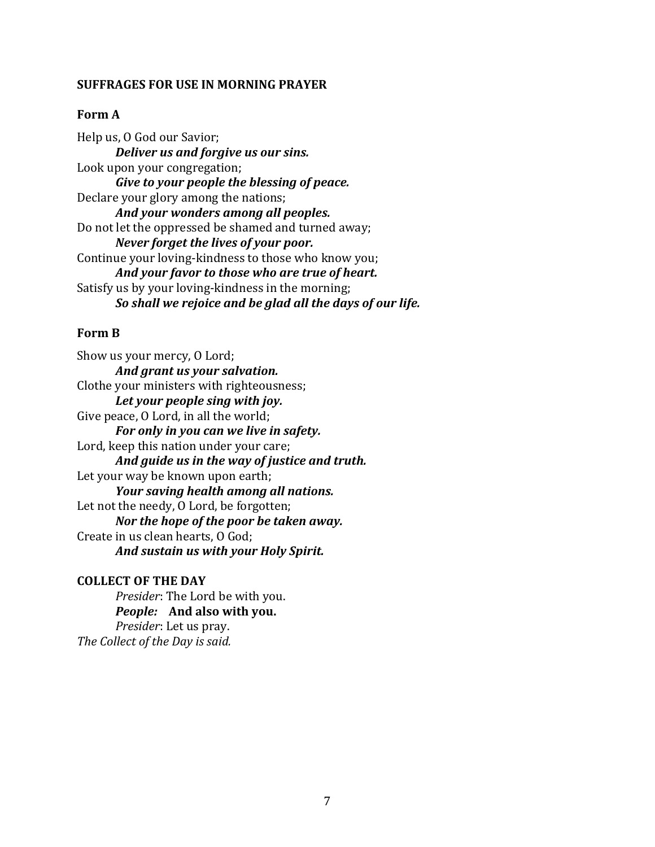#### **SUFFRAGES FOR USE IN MORNING PRAYER**

#### **Form A**

Help us, O God our Savior; **Deliver us and forgive us our sins.** Look upon your congregation; Give to your people the blessing of peace. Declare your glory among the nations; And your wonders among all peoples. Do not let the oppressed be shamed and turned away; *Never forget the lives of your poor.* Continue your loving-kindness to those who know you; And your favor to those who are true of heart. Satisfy us by your loving-kindness in the morning; *So shall we rejoice and be glad all the days of our life.* 

#### **Form B**

Show us your mercy, O Lord; And grant us your salvation. Clothe your ministers with righteousness; Let your people sing with joy. Give peace, O Lord, in all the world; *For only in you can we live in safety.* Lord, keep this nation under your care; *And guide us in the way of justice and truth.* Let your way be known upon earth; *Your saving health among all nations.* Let not the needy, O Lord, be forgotten; *Nor the hope of the poor be taken away.* Create in us clean hearts, O God; And sustain us with your Holy Spirit.

#### **COLLECT OF THE DAY**

*Presider*: The Lord be with you. *People:* And also with you. *Presider:* Let us pray. The Collect of the Day is said.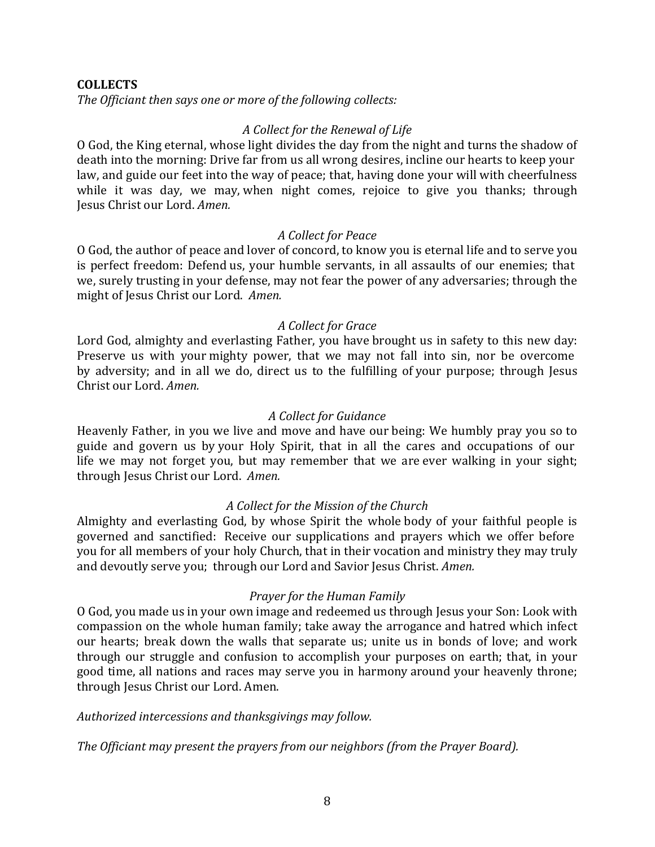#### **COLLECTS**

The Officiant then says one or more of the following collects:

# *A Collect for the Renewal of Life*

O God, the King eternal, whose light divides the day from the night and turns the shadow of death into the morning: Drive far from us all wrong desires, incline our hearts to keep your law, and guide our feet into the way of peace; that, having done your will with cheerfulness while it was day, we may, when night comes, rejoice to give you thanks; through Jesus Christ our Lord. *Amen.* 

#### *A Collect for Peace*

O God, the author of peace and lover of concord, to know you is eternal life and to serve you is perfect freedom: Defend us, your humble servants, in all assaults of our enemies; that we, surely trusting in your defense, may not fear the power of any adversaries; through the might of Jesus Christ our Lord. *Amen.* 

#### *A Collect for Grace*

Lord God, almighty and everlasting Father, you have brought us in safety to this new day: Preserve us with your mighty power, that we may not fall into sin, nor be overcome by adversity; and in all we do, direct us to the fulfilling of your purpose; through Jesus Christ our Lord. *Amen.* 

#### *A Collect for Guidance*

Heavenly Father, in you we live and move and have our being: We humbly pray you so to guide and govern us by your Holy Spirit, that in all the cares and occupations of our life we may not forget you, but may remember that we are ever walking in your sight; through Jesus Christ our Lord. Amen.

# *A Collect for the Mission of the Church*

Almighty and everlasting God, by whose Spirit the whole body of your faithful people is governed and sanctified: Receive our supplications and prayers which we offer before you for all members of your holy Church, that in their vocation and ministry they may truly and devoutly serve you; through our Lord and Savior Jesus Christ. *Amen.* 

#### *Prayer for the Human Family*

O God, you made us in your own image and redeemed us through Jesus your Son: Look with compassion on the whole human family; take away the arrogance and hatred which infect our hearts; break down the walls that separate us; unite us in bonds of love; and work through our struggle and confusion to accomplish your purposes on earth; that, in your good time, all nations and races may serve you in harmony around your heavenly throne; through Jesus Christ our Lord. Amen.

#### Authorized intercessions and thanksgivings may follow.

The Officiant may present the prayers from our neighbors (from the Prayer Board).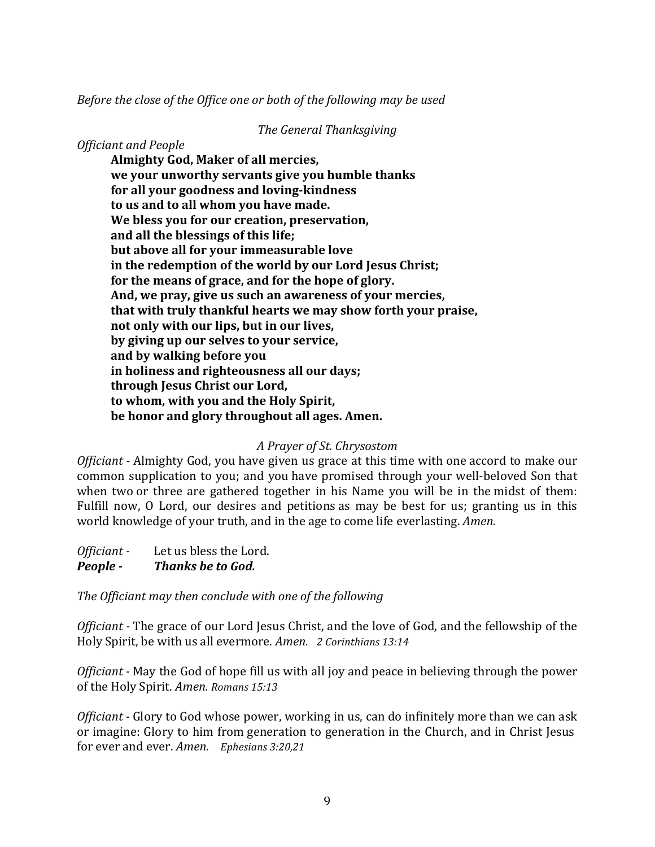*Before the close of the Office one or both of the following may be used* 

#### *The General Thanksgiving*

# *Officiant and People*

**Almighty God, Maker of all mercies, we your unworthy servants give you humble thanks** for all your goodness and loving-kindness to us and to all whom you have made. We bless you for our creation, preservation, **and all the blessings of this life; but above all for your immeasurable love** in the redemption of the world by our Lord Jesus Christ; for the means of grace, and for the hope of glory. And, we pray, give us such an awareness of your mercies, **that with truly thankful hearts we may show forth your praise, not only with our lips, but in our lives, by giving up our selves to your service, and by walking before you** in holiness and righteousness all our days; **through Jesus Christ our Lord,** to whom, with you and the Holy Spirit, **be honor and glory throughout all ages. Amen.** 

# *A Prayer of St. Chrysostom*

*Officiant* - Almighty God, you have given us grace at this time with one accord to make our common supplication to you; and you have promised through your well-beloved Son that when two or three are gathered together in his Name you will be in the midst of them: Fulfill now, O Lord, our desires and petitions as may be best for us; granting us in this world knowledge of your truth, and in the age to come life everlasting. *Amen.* 

*Officiant* - Let us bless the Lord. **People - Thanks** be to God.

The Officiant may then conclude with one of the following

*Officiant* - The grace of our Lord Jesus Christ, and the love of God, and the fellowship of the Holy Spirit, be with us all evermore. *Amen.* 2 Corinthians 13:14

*Officiant* - May the God of hope fill us with all joy and peace in believing through the power of the Holy Spirit. *Amen. Romans* 15:13

*Officiant* - Glory to God whose power, working in us, can do infinitely more than we can ask or imagine: Glory to him from generation to generation in the Church, and in Christ Jesus for ever and ever. *Amen. Ephesians* 3:20,21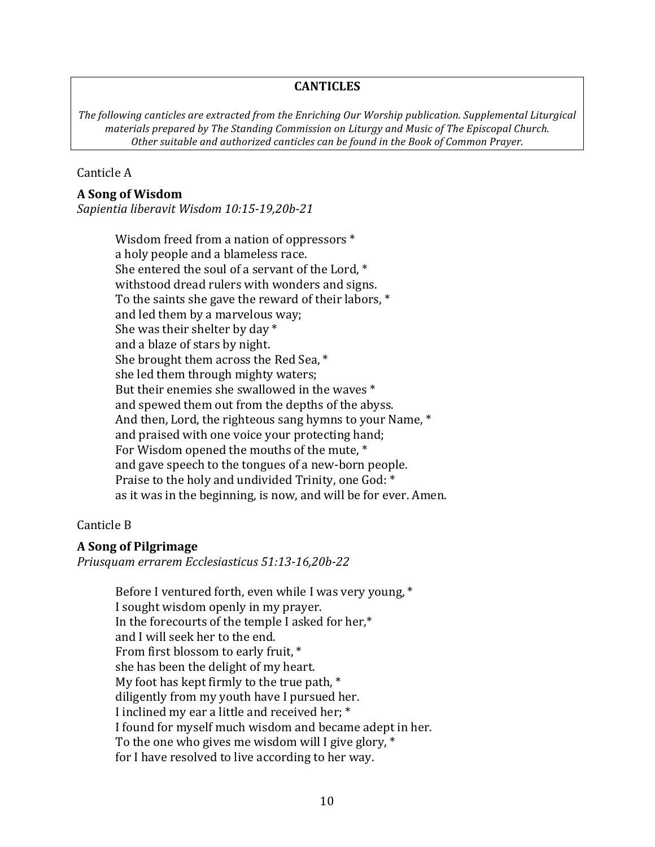#### **CANTICLES**

The following canticles are extracted from the Enriching Our Worship publication. Supplemental Liturgical *materials prepared by The Standing Commission on Liturgy and Music of The Episcopal Church.* Other suitable and authorized canticles can be found in the Book of Common Prayer.

#### Canticle A

#### **A Song of Wisdom**

*Sapientia liberavit Wisdom 10:15-19,20b-21* 

Wisdom freed from a nation of oppressors  $*$ a holy people and a blameless race. She entered the soul of a servant of the Lord,  $*$ withstood dread rulers with wonders and signs. To the saints she gave the reward of their labors,  $*$ and led them by a marvelous way; She was their shelter by day  $*$ and a blaze of stars by night. She brought them across the Red Sea,  $*$ she led them through mighty waters; But their enemies she swallowed in the waves  $*$ and spewed them out from the depths of the abyss. And then, Lord, the righteous sang hymns to your Name,  $*$ and praised with one voice your protecting hand; For Wisdom opened the mouths of the mute, \* and gave speech to the tongues of a new-born people. Praise to the holy and undivided Trinity, one God: \* as it was in the beginning, is now, and will be for ever. Amen.

#### Canticle B

#### **A Song of Pilgrimage**

*Priusquam errarem Ecclesiasticus 51:13-16,20b-22* 

Before I ventured forth, even while I was very young,  $*$ I sought wisdom openly in my prayer. In the forecourts of the temple I asked for her, $*$ and I will seek her to the end. From first blossom to early fruit, \* she has been the delight of my heart. My foot has kept firmly to the true path,  $*$ diligently from my youth have I pursued her. I inclined my ear a little and received her; \* I found for myself much wisdom and became adept in her. To the one who gives me wisdom will I give glory,  $*$ for I have resolved to live according to her way.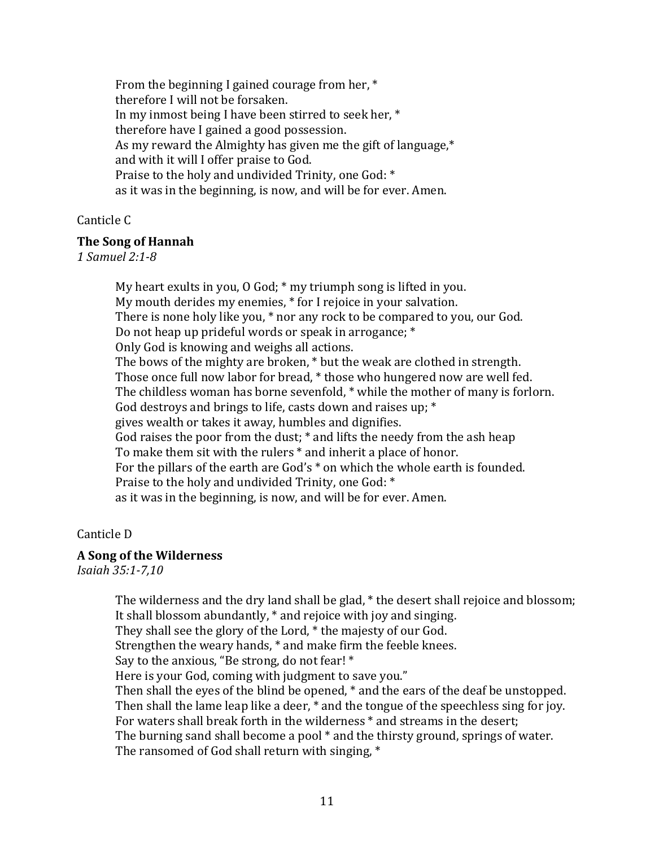From the beginning I gained courage from her,  $*$ therefore I will not be forsaken. In my inmost being I have been stirred to seek her,  $*$ therefore have I gained a good possession. As my reward the Almighty has given me the gift of language, $*$ and with it will I offer praise to God. Praise to the holy and undivided Trinity, one God: \* as it was in the beginning, is now, and will be for ever. Amen.

#### Canticle<sub>C</sub>

#### **The Song of Hannah**

*1 Samuel 2:1-8* 

My heart exults in you,  $0$  God;  $*$  my triumph song is lifted in you. My mouth derides my enemies, \* for I rejoice in your salvation. There is none holy like you, \* nor any rock to be compared to you, our God. Do not heap up prideful words or speak in arrogance;  $*$ Only God is knowing and weighs all actions. The bows of the mighty are broken, \* but the weak are clothed in strength. Those once full now labor for bread, \* those who hungered now are well fed. The childless woman has borne sevenfold,  $*$  while the mother of many is forlorn. God destroys and brings to life, casts down and raises up;  $*$ gives wealth or takes it away, humbles and dignifies. God raises the poor from the dust;  $*$  and lifts the needy from the ash heap To make them sit with the rulers  $*$  and inherit a place of honor. For the pillars of the earth are  $God's *$  on which the whole earth is founded. Praise to the holy and undivided Trinity, one God: \* as it was in the beginning, is now, and will be for ever. Amen.

#### Canticle D

# **A Song of the Wilderness**

*Isaiah 35:1-7,10* 

The wilderness and the dry land shall be glad, \* the desert shall rejoice and blossom; It shall blossom abundantly,  $*$  and rejoice with joy and singing. They shall see the glory of the Lord, \* the majesty of our God. Strengthen the weary hands,  $*$  and make firm the feeble knees. Say to the anxious, "Be strong, do not fear!  $*$ Here is your God, coming with judgment to save you." Then shall the eyes of the blind be opened,  $*$  and the ears of the deaf be unstopped. Then shall the lame leap like a deer,  $*$  and the tongue of the speechless sing for joy. For waters shall break forth in the wilderness  $*$  and streams in the desert; The burning sand shall become a pool  $*$  and the thirsty ground, springs of water. The ransomed of God shall return with singing,  $*$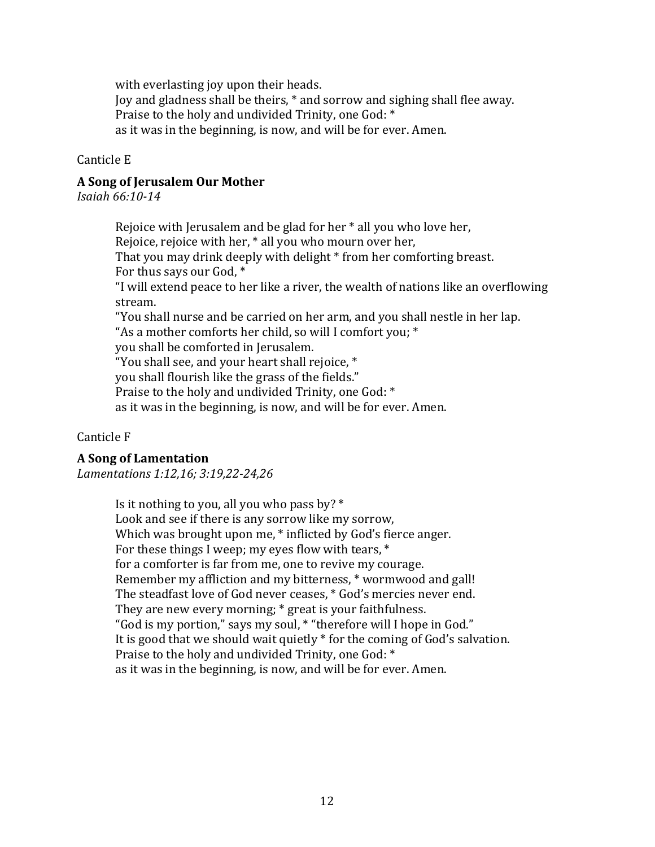with everlasting joy upon their heads.

Joy and gladness shall be theirs, \* and sorrow and sighing shall flee away. Praise to the holy and undivided Trinity, one God:  $*$ as it was in the beginning, is now, and will be for ever. Amen.

Canticle E

# **A Song of Jerusalem Our Mother**

*Isaiah 66:10-14* 

Rejoice with Jerusalem and be glad for her  $*$  all you who love her, Rejoice, rejoice with her,  $*$  all you who mourn over her, That you may drink deeply with delight  $*$  from her comforting breast. For thus says our God, \* "I will extend peace to her like a river, the wealth of nations like an overflowing stream. "You shall nurse and be carried on her arm, and you shall nestle in her lap. "As a mother comforts her child, so will I comfort you;  $*$ you shall be comforted in Jerusalem. "You shall see, and your heart shall rejoice,  $*$ you shall flourish like the grass of the fields." Praise to the holy and undivided Trinity, one God: \* as it was in the beginning, is now, and will be for ever. Amen.

Canticle F

# **A Song of Lamentation**

*Lamentations 1:12,16; 3:19,22-24,26* 

Is it nothing to you, all you who pass by?  $*$ Look and see if there is any sorrow like my sorrow, Which was brought upon me,  $*$  inflicted by God's fierce anger. For these things I weep; my eyes flow with tears,  $*$ for a comforter is far from me, one to revive my courage. Remember my affliction and my bitterness,  $*$  wormwood and gall! The steadfast love of God never ceases,  $*$  God's mercies never end. They are new every morning;  $*$  great is your faithfulness. "God is my portion," says my soul, \* "therefore will I hope in God." It is good that we should wait quietly  $*$  for the coming of God's salvation. Praise to the holy and undivided Trinity, one God: \* as it was in the beginning, is now, and will be for ever. Amen.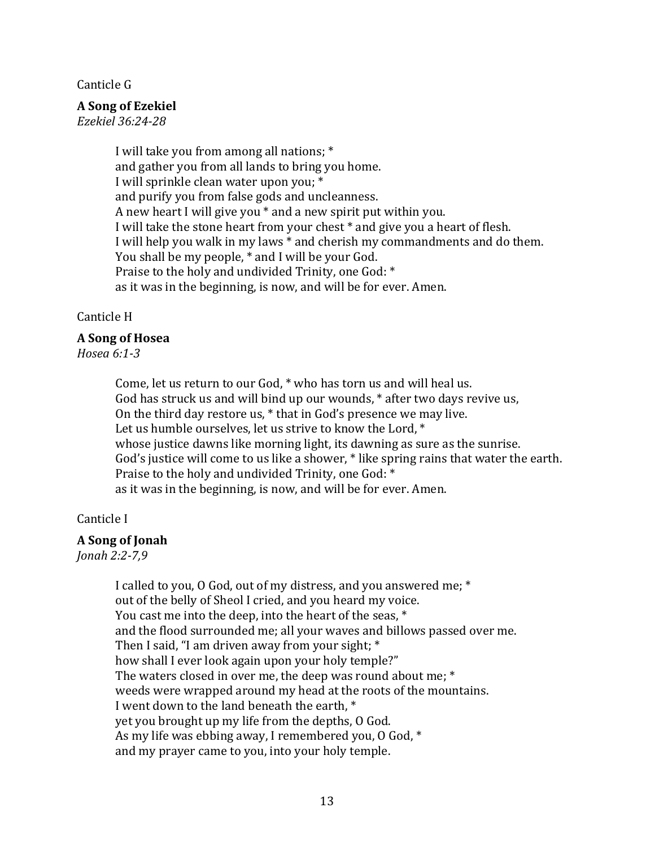Canticle G

#### **A Song of Ezekiel**

*Ezekiel 36:24-28* 

I will take you from among all nations; \* and gather you from all lands to bring you home. I will sprinkle clean water upon you; \* and purify you from false gods and uncleanness. A new heart I will give you  $*$  and a new spirit put within you. I will take the stone heart from your chest \* and give you a heart of flesh. I will help you walk in my laws  $*$  and cherish my commandments and do them. You shall be my people,  $*$  and I will be your God. Praise to the holy and undivided Trinity, one God: \* as it was in the beginning, is now, and will be for ever. Amen.

#### Canticle H

#### **A Song of Hosea**

*Hosea 6:1-3* 

Come, let us return to our God,  $*$  who has torn us and will heal us. God has struck us and will bind up our wounds, \* after two days revive us, On the third day restore us,  $*$  that in God's presence we may live. Let us humble ourselves, let us strive to know the Lord,  $*$ whose justice dawns like morning light, its dawning as sure as the sunrise. God's justice will come to us like a shower,  $*$  like spring rains that water the earth. Praise to the holy and undivided Trinity, one God: \* as it was in the beginning, is now, and will be for ever. Amen.

#### Canticle I

# **A Song of Jonah**

*Jonah 2:2-7,9* 

I called to you, O God, out of my distress, and you answered me; \* out of the belly of Sheol I cried, and you heard my voice. You cast me into the deep, into the heart of the seas,  $*$ and the flood surrounded me; all your waves and billows passed over me. Then I said, "I am driven away from your sight;  $*$ how shall I ever look again upon your holy temple?" The waters closed in over me, the deep was round about me;  $*$ weeds were wrapped around my head at the roots of the mountains. I went down to the land beneath the earth, \* yet you brought up my life from the depths, O God. As my life was ebbing away, I remembered you, O God,  $*$ and my prayer came to you, into your holy temple.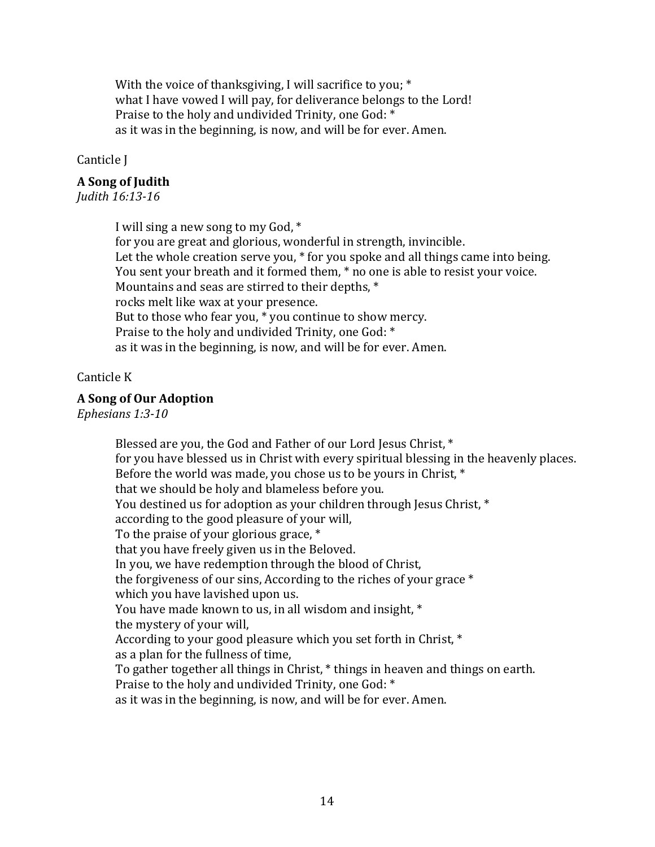With the voice of thanksgiving, I will sacrifice to you;  $*$ what I have vowed I will pay, for deliverance belongs to the Lord! Praise to the holy and undivided Trinity, one God:  $*$ as it was in the beginning, is now, and will be for ever. Amen.

Canticle I

### **A Song of Judith**

*Judith 16:13-16* 

I will sing a new song to my God,  $*$ for you are great and glorious, wonderful in strength, invincible. Let the whole creation serve you,  $*$  for you spoke and all things came into being. You sent your breath and it formed them,  $*$  no one is able to resist your voice. Mountains and seas are stirred to their depths,  $*$ rocks melt like wax at your presence. But to those who fear you,  $*$  you continue to show mercy. Praise to the holy and undivided Trinity, one God: \* as it was in the beginning, is now, and will be for ever. Amen.

#### Canticle K

#### **A Song of Our Adoption**

Ephesians 1:3-10

Blessed are you, the God and Father of our Lord Jesus Christ, \* for you have blessed us in Christ with every spiritual blessing in the heavenly places. Before the world was made, you chose us to be yours in Christ,  $*$ that we should be holy and blameless before you. You destined us for adoption as your children through Jesus Christ, \* according to the good pleasure of your will, To the praise of your glorious grace,  $*$ that you have freely given us in the Beloved. In you, we have redemption through the blood of Christ, the forgiveness of our sins, According to the riches of your grace  $*$ which you have lavished upon us. You have made known to us, in all wisdom and insight,  $*$ the mystery of your will, According to your good pleasure which you set forth in Christ,  $*$ as a plan for the fullness of time, To gather together all things in Christ, \* things in heaven and things on earth. Praise to the holy and undivided Trinity, one God: \* as it was in the beginning, is now, and will be for ever. Amen.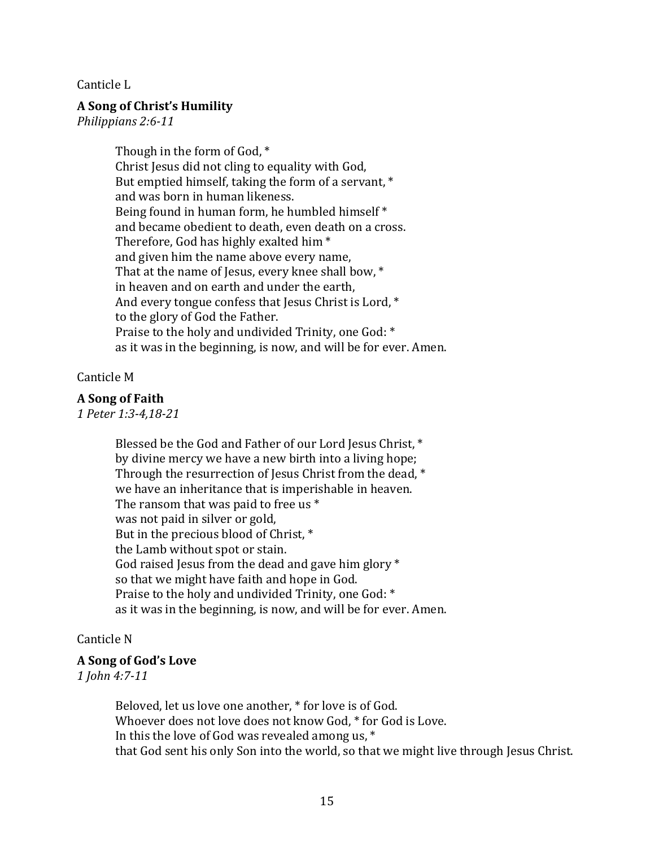Canticle L

#### **A Song of Christ's Humility**

*Philippians 2:6-11* 

Though in the form of God,  $*$ Christ Jesus did not cling to equality with God, But emptied himself, taking the form of a servant,  $*$ and was born in human likeness. Being found in human form, he humbled himself  $*$ and became obedient to death, even death on a cross. Therefore, God has highly exalted him  $*$ and given him the name above every name, That at the name of Jesus, every knee shall bow,  $*$ in heaven and on earth and under the earth, And every tongue confess that Jesus Christ is Lord,  $*$ to the glory of God the Father. Praise to the holy and undivided Trinity, one God:  $*$ as it was in the beginning, is now, and will be for ever. Amen.

#### Canticle M

#### **A Song of Faith**

*1 Peter 1:3-4,18-21* 

Blessed be the God and Father of our Lord Jesus Christ, \* by divine mercy we have a new birth into a living hope; Through the resurrection of Jesus Christ from the dead,  $*$ we have an inheritance that is imperishable in heaven. The ransom that was paid to free us  $*$ was not paid in silver or gold, But in the precious blood of Christ,  $*$ the Lamb without spot or stain. God raised Jesus from the dead and gave him glory  $*$ so that we might have faith and hope in God. Praise to the holy and undivided Trinity, one God: \* as it was in the beginning, is now, and will be for ever. Amen.

#### Canticle N

#### **A Song of God's Love**

*1 John 4:7-11* 

Beloved, let us love one another, \* for love is of God. Whoever does not love does not know God, \* for God is Love. In this the love of God was revealed among us,  $*$ that God sent his only Son into the world, so that we might live through Jesus Christ.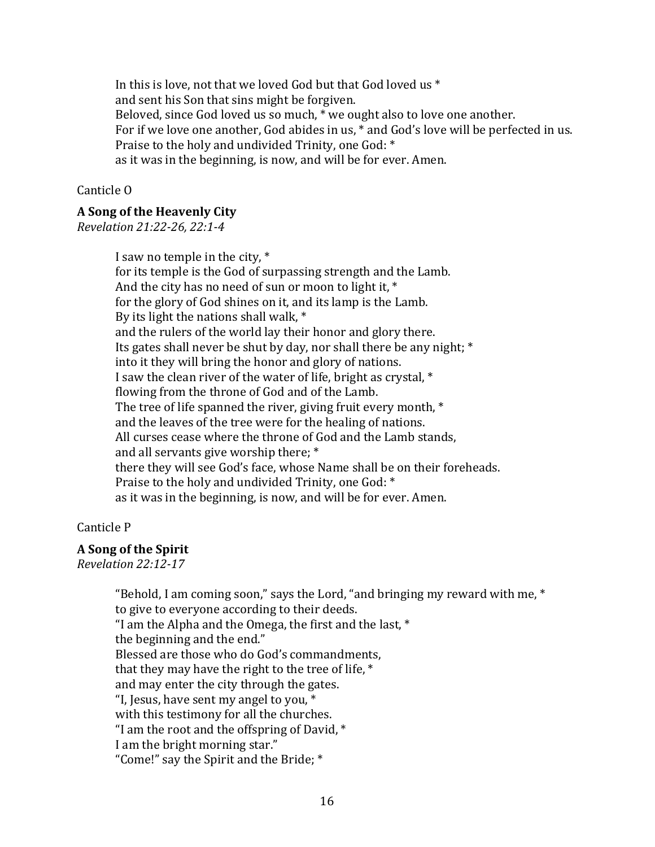In this is love, not that we loved God but that God loved us  $*$ and sent his Son that sins might be forgiven. Beloved, since God loved us so much,  $*$  we ought also to love one another. For if we love one another, God abides in us,  $*$  and God's love will be perfected in us. Praise to the holy and undivided Trinity, one God: \* as it was in the beginning, is now, and will be for ever. Amen.

#### Canticle<sub>O</sub>

#### **A Song of the Heavenly City**

*Revelation 21:22-26, 22:1-4* 

I saw no temple in the city,  $*$ for its temple is the God of surpassing strength and the Lamb. And the city has no need of sun or moon to light it,  $*$ for the glory of God shines on it, and its lamp is the Lamb. By its light the nations shall walk,  $*$ and the rulers of the world lay their honor and glory there. Its gates shall never be shut by day, nor shall there be any night;  $*$ into it they will bring the honor and glory of nations. I saw the clean river of the water of life, bright as crystal,  $*$ flowing from the throne of God and of the Lamb. The tree of life spanned the river, giving fruit every month,  $*$ and the leaves of the tree were for the healing of nations. All curses cease where the throne of God and the Lamb stands, and all servants give worship there; \* there they will see God's face, whose Name shall be on their foreheads. Praise to the holy and undivided Trinity, one God: \* as it was in the beginning, is now, and will be for ever. Amen.

#### Canticle P

# **A Song of the Spirit**

*Revelation 22:12-17* 

"Behold, I am coming soon," says the Lord, "and bringing my reward with me,  $*$ to give to everyone according to their deeds. "I am the Alpha and the Omega, the first and the last,  $*$ the beginning and the end." Blessed are those who do God's commandments, that they may have the right to the tree of life,  $*$ and may enter the city through the gates. "I, Jesus, have sent my angel to you,  $*$ with this testimony for all the churches. "I am the root and the offspring of David,  $*$ I am the bright morning star." "Come!" say the Spirit and the Bride; \*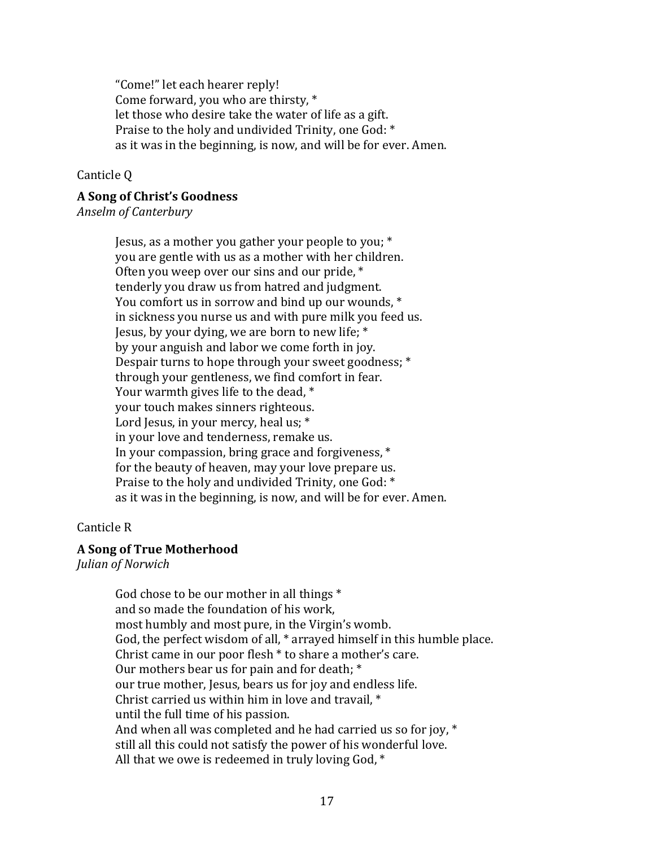"Come!" let each hearer reply! Come forward, you who are thirsty,  $*$ let those who desire take the water of life as a gift. Praise to the holy and undivided Trinity, one God:  $*$ as it was in the beginning, is now, and will be for ever. Amen.

#### Canticle Q

# **A Song of Christ's Goodness**

*Anselm of Canterbury* 

Jesus, as a mother you gather your people to you;  $*$ you are gentle with us as a mother with her children. Often you weep over our sins and our pride,  $*$ tenderly you draw us from hatred and judgment. You comfort us in sorrow and bind up our wounds,  $*$ in sickness you nurse us and with pure milk you feed us. Jesus, by your dying, we are born to new life;  $*$ by your anguish and labor we come forth in joy. Despair turns to hope through your sweet goodness; \* through your gentleness, we find comfort in fear. Your warmth gives life to the dead,  $*$ your touch makes sinners righteous. Lord Jesus, in your mercy, heal us;  $*$ in your love and tenderness, remake us. In your compassion, bring grace and forgiveness,  $*$ for the beauty of heaven, may your love prepare us. Praise to the holy and undivided Trinity, one God: \* as it was in the beginning, is now, and will be for ever. Amen.

#### Canticle R

#### **A Song of True Motherhood**

*Julian of Norwich* 

God chose to be our mother in all things  $*$ and so made the foundation of his work. most humbly and most pure, in the Virgin's womb. God, the perfect wisdom of all,  $*$  arrayed himself in this humble place. Christ came in our poor flesh  $*$  to share a mother's care. Our mothers bear us for pain and for death;  $*$ our true mother, Jesus, bears us for joy and endless life. Christ carried us within him in love and travail,  $*$ until the full time of his passion. And when all was completed and he had carried us so for joy,  $*$ still all this could not satisfy the power of his wonderful love. All that we owe is redeemed in truly loving God,  $*$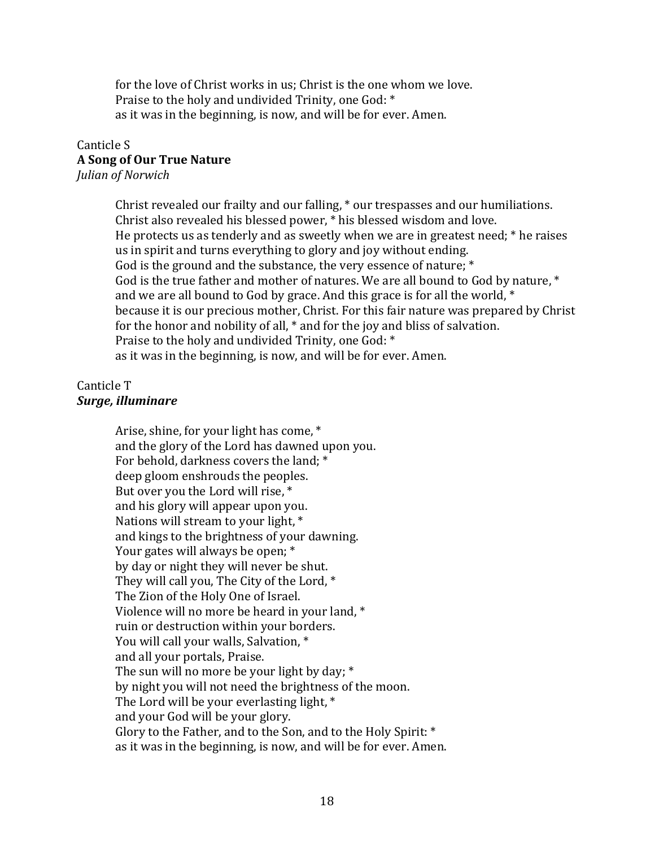for the love of Christ works in us: Christ is the one whom we love. Praise to the holy and undivided Trinity, one God: \* as it was in the beginning, is now, and will be for ever. Amen.

# Canticle S **A Song of Our True Nature**

*Julian of Norwich* 

Christ revealed our frailty and our falling,  $*$  our trespasses and our humiliations. Christ also revealed his blessed power, \* his blessed wisdom and love. He protects us as tenderly and as sweetly when we are in greatest need;  $*$  he raises us in spirit and turns everything to glory and joy without ending. God is the ground and the substance, the very essence of nature;  $*$ God is the true father and mother of natures. We are all bound to God by nature,  $*$ and we are all bound to God by grace. And this grace is for all the world,  $*$ because it is our precious mother, Christ. For this fair nature was prepared by Christ for the honor and nobility of all,  $*$  and for the joy and bliss of salvation. Praise to the holy and undivided Trinity, one God:  $*$ as it was in the beginning, is now, and will be for ever. Amen.

# Canticle T *Surge, illuminare*

Arise, shine, for your light has come, \* and the glory of the Lord has dawned upon you. For behold, darkness covers the land; \* deep gloom enshrouds the peoples. But over you the Lord will rise,  $*$ and his glory will appear upon you. Nations will stream to your light,  $*$ and kings to the brightness of your dawning. Your gates will always be open;  $*$ by day or night they will never be shut. They will call you, The City of the Lord,  $*$ The Zion of the Holy One of Israel. Violence will no more be heard in your land,  $*$ ruin or destruction within your borders. You will call your walls, Salvation, \* and all your portals, Praise. The sun will no more be your light by day;  $*$ by night you will not need the brightness of the moon. The Lord will be your everlasting light,  $*$ and your God will be your glory. Glory to the Father, and to the Son, and to the Holy Spirit:  $*$ as it was in the beginning, is now, and will be for ever. Amen.